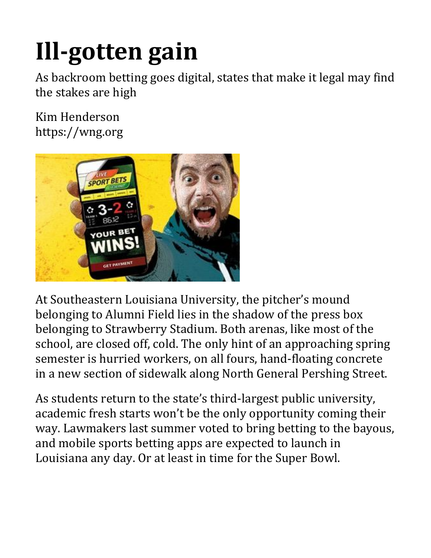## **Ill-gotten gain**

As backroom betting goes digital, states that make it legal may find the stakes are high

Kim Henderson https://wng.org



At Southeastern Louisiana University, the pitcher's mound belonging to Alumni Field lies in the shadow of the press box belonging to Strawberry Stadium. Both arenas, like most of the school, are closed off, cold. The only hint of an approaching spring semester is hurried workers, on all fours, hand-floating concrete in a new section of sidewalk along North General Pershing Street.

As students return to the state's third-largest public university, academic fresh starts won't be the only opportunity coming their way. Lawmakers last summer voted to bring betting to the bayous, and mobile sports betting apps are expected to launch in Louisiana any day. Or at least in time for the Super Bowl.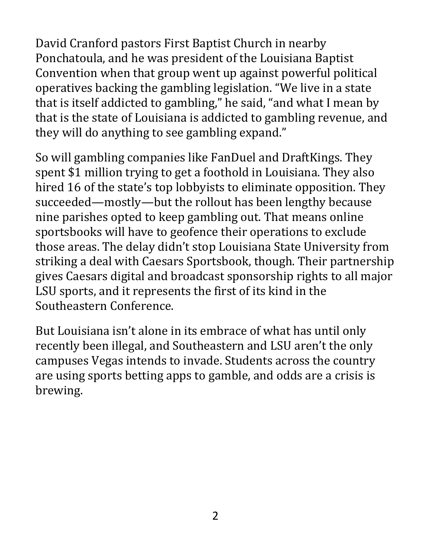David Cranford pastors First Baptist Church in nearby Ponchatoula, and he was president of the Louisiana Baptist Convention when that group went up against powerful political operatives backing the gambling legislation. "We live in a state that is itself addicted to gambling," he said, "and what I mean by that is the state of Louisiana is addicted to gambling revenue, and they will do anything to see gambling expand."

So will gambling companies like FanDuel and DraftKings. They spent \$1 million trying to get a foothold in Louisiana. They also hired 16 of the state's top lobbyists to eliminate opposition. They succeeded—mostly—but the rollout has been lengthy because nine parishes opted to keep gambling out. That means online sportsbooks will have to geofence their operations to exclude those areas. The delay didn't stop Louisiana State University from striking a deal with Caesars Sportsbook, though. Their partnership gives Caesars digital and broadcast sponsorship rights to all major LSU sports, and it represents the first of its kind in the Southeastern Conference.

But Louisiana isn't alone in its embrace of what has until only recently been illegal, and Southeastern and LSU aren't the only campuses Vegas intends to invade. Students across the country are using sports betting apps to gamble, and odds are a crisis is brewing.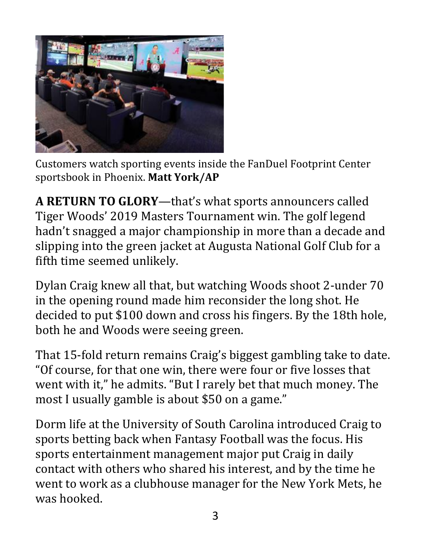

Customers watch sporting events inside the FanDuel Footprint Center sportsbook in Phoenix. **Matt York/AP**

**A RETURN TO GLORY**—that's what sports announcers called Tiger Woods' 2019 Masters Tournament win. The golf legend hadn't snagged a major championship in more than a decade and slipping into the green jacket at Augusta National Golf Club for a fifth time seemed unlikely.

Dylan Craig knew all that, but watching Woods shoot 2-under 70 in the opening round made him reconsider the long shot. He decided to put \$100 down and cross his fingers. By the 18th hole, both he and Woods were seeing green.

That 15-fold return remains Craig's biggest gambling take to date. "Of course, for that one win, there were four or five losses that went with it," he admits. "But I rarely bet that much money. The most I usually gamble is about \$50 on a game."

Dorm life at the University of South Carolina introduced Craig to sports betting back when Fantasy Football was the focus. His sports entertainment management major put Craig in daily contact with others who shared his interest, and by the time he went to work as a clubhouse manager for the New York Mets, he was hooked.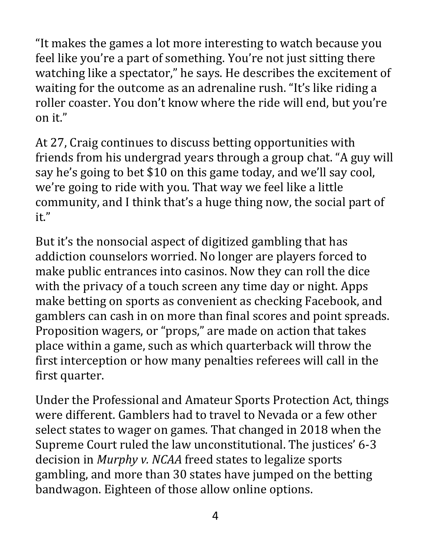"It makes the games a lot more interesting to watch because you feel like you're a part of something. You're not just sitting there watching like a spectator," he says. He describes the excitement of waiting for the outcome as an adrenaline rush. "It's like riding a roller coaster. You don't know where the ride will end, but you're on it."

At 27, Craig continues to discuss betting opportunities with friends from his undergrad years through a group chat. "A guy will say he's going to bet \$10 on this game today, and we'll say cool, we're going to ride with you. That way we feel like a little community, and I think that's a huge thing now, the social part of it."

But it's the nonsocial aspect of digitized gambling that has addiction counselors worried. No longer are players forced to make public entrances into casinos. Now they can roll the dice with the privacy of a touch screen any time day or night. Apps make betting on sports as convenient as checking Facebook, and gamblers can cash in on more than final scores and point spreads. Proposition wagers, or "props," are made on action that takes place within a game, such as which quarterback will throw the first interception or how many penalties referees will call in the first quarter.

Under the Professional and Amateur Sports Protection Act, things were different. Gamblers had to travel to Nevada or a few other select states to wager on games. That changed in 2018 when the Supreme Court ruled the law unconstitutional. The justices' 6-3 decision in *Murphy v. NCAA* freed states to legalize sports gambling, and more than 30 states have jumped on the betting bandwagon. Eighteen of those allow online options.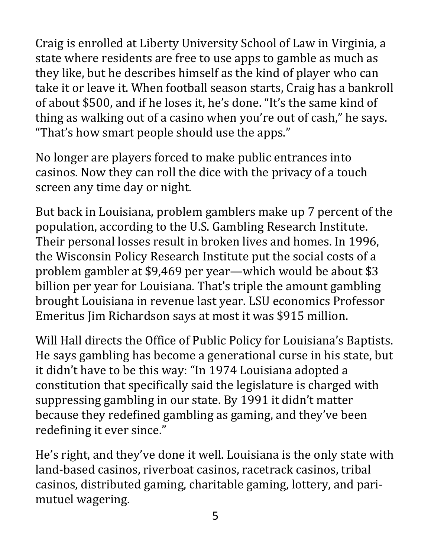Craig is enrolled at Liberty University School of Law in Virginia, a state where residents are free to use apps to gamble as much as they like, but he describes himself as the kind of player who can take it or leave it. When football season starts, Craig has a bankroll of about \$500, and if he loses it, he's done. "It's the same kind of thing as walking out of a casino when you're out of cash," he says. "That's how smart people should use the apps."

No longer are players forced to make public entrances into casinos. Now they can roll the dice with the privacy of a touch screen any time day or night.

But back in Louisiana, problem gamblers make up 7 percent of the population, according to the U.S. Gambling Research Institute. Their personal losses result in broken lives and homes. In 1996, the Wisconsin Policy Research Institute put the social costs of a problem gambler at \$9,469 per year—which would be about \$3 billion per year for Louisiana. That's triple the amount gambling brought Louisiana in revenue last year. LSU economics Professor Emeritus Jim Richardson says at most it was \$915 million.

Will Hall directs the Office of Public Policy for Louisiana's Baptists. He says gambling has become a generational curse in his state, but it didn't have to be this way: "In 1974 Louisiana adopted a constitution that specifically said the legislature is charged with suppressing gambling in our state. By 1991 it didn't matter because they redefined gambling as gaming, and they've been redefining it ever since."

He's right, and they've done it well. Louisiana is the only state with land-based casinos, riverboat casinos, racetrack casinos, tribal casinos, distributed gaming, charitable gaming, lottery, and parimutuel wagering.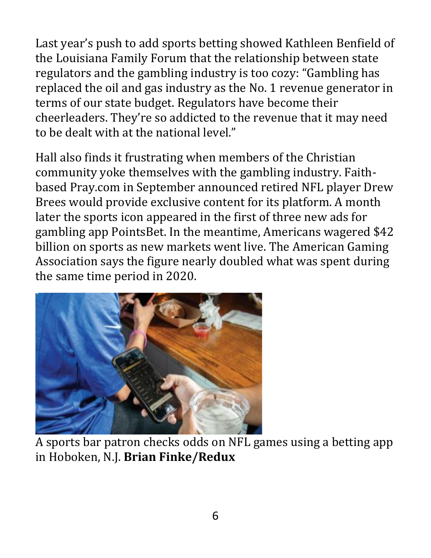Last year's push to add sports betting showed Kathleen Benfield of the Louisiana Family Forum that the relationship between state regulators and the gambling industry is too cozy: "Gambling has replaced the oil and gas industry as the No. 1 revenue generator in terms of our state budget. Regulators have become their cheerleaders. They're so addicted to the revenue that it may need to be dealt with at the national level."

Hall also finds it frustrating when members of the Christian community yoke themselves with the gambling industry. Faithbased Pray.com in September announced retired NFL player Drew Brees would provide exclusive content for its platform. A month later the sports icon appeared in the first of three new ads for gambling app PointsBet. In the meantime, Americans wagered \$42 billion on sports as new markets went live. The American Gaming Association says the figure nearly doubled what was spent during the same time period in 2020.



A sports bar patron checks odds on NFL games using a betting app in Hoboken, N.J. **Brian Finke/Redux**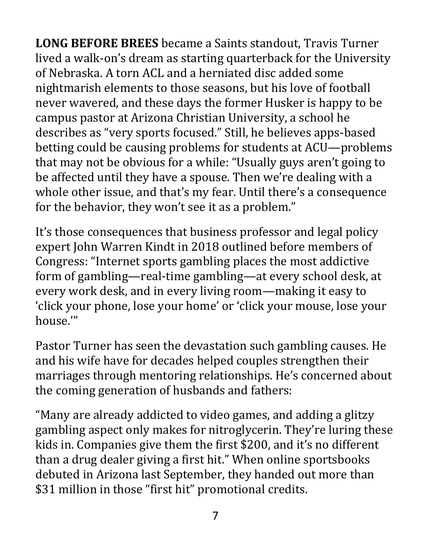**LONG BEFORE BREES** became a Saints standout, Travis Turner lived a walk-on's dream as starting quarterback for the University of Nebraska. A torn ACL and a herniated disc added some nightmarish elements to those seasons, but his love of football never wavered, and these days the former Husker is happy to be campus pastor at Arizona Christian University, a school he describes as "very sports focused." Still, he believes apps-based betting could be causing problems for students at ACU—problems that may not be obvious for a while: "Usually guys aren't going to be affected until they have a spouse. Then we're dealing with a whole other issue, and that's my fear. Until there's a consequence for the behavior, they won't see it as a problem."

It's those consequences that business professor and legal policy expert John Warren Kindt in 2018 outlined before members of Congress: "Internet sports gambling places the most addictive form of gambling—real-time gambling—at every school desk, at every work desk, and in every living room—making it easy to 'click your phone, lose your home' or 'click your mouse, lose your house.'"

Pastor Turner has seen the devastation such gambling causes. He and his wife have for decades helped couples strengthen their marriages through mentoring relationships. He's concerned about the coming generation of husbands and fathers:

"Many are already addicted to video games, and adding a glitzy gambling aspect only makes for nitroglycerin. They're luring these kids in. Companies give them the first \$200, and it's no different than a drug dealer giving a first hit." When online sportsbooks debuted in Arizona last September, they handed out more than \$31 million in those "first hit" promotional credits.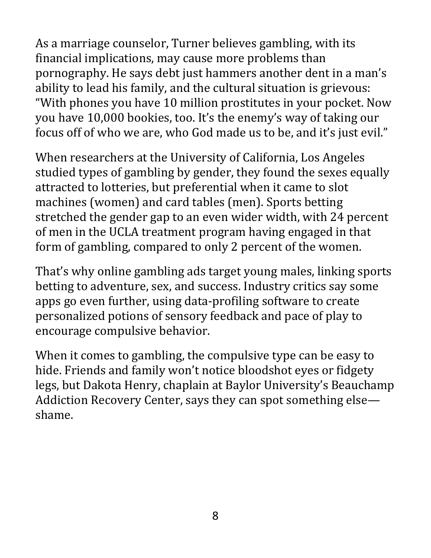As a marriage counselor, Turner believes gambling, with its financial implications, may cause more problems than pornography. He says debt just hammers another dent in a man's ability to lead his family, and the cultural situation is grievous: "With phones you have 10 million prostitutes in your pocket. Now you have 10,000 bookies, too. It's the enemy's way of taking our focus off of who we are, who God made us to be, and it's just evil."

When researchers at the University of California, Los Angeles studied types of gambling by gender, they found the sexes equally attracted to lotteries, but preferential when it came to slot machines (women) and card tables (men). Sports betting stretched the gender gap to an even wider width, with 24 percent of men in the UCLA treatment program having engaged in that form of gambling, compared to only 2 percent of the women.

That's why online gambling ads target young males, linking sports betting to adventure, sex, and success. Industry critics say some apps go even further, using data-profiling software to create personalized potions of sensory feedback and pace of play to encourage compulsive behavior.

When it comes to gambling, the compulsive type can be easy to hide. Friends and family won't notice bloodshot eyes or fidgety legs, but Dakota Henry, chaplain at Baylor University's Beauchamp Addiction Recovery Center, says they can spot something else shame.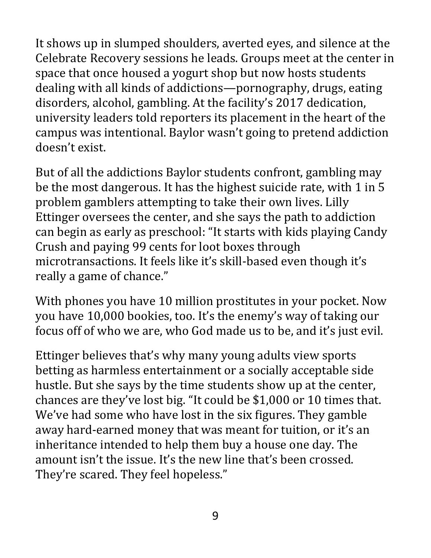It shows up in slumped shoulders, averted eyes, and silence at the Celebrate Recovery sessions he leads. Groups meet at the center in space that once housed a yogurt shop but now hosts students dealing with all kinds of addictions—pornography, drugs, eating disorders, alcohol, gambling. At the facility's 2017 dedication, university leaders told reporters its placement in the heart of the campus was intentional. Baylor wasn't going to pretend addiction doesn't exist.

But of all the addictions Baylor students confront, gambling may be the most dangerous. It has the highest suicide rate, with 1 in 5 problem gamblers attempting to take their own lives. Lilly Ettinger oversees the center, and she says the path to addiction can begin as early as preschool: "It starts with kids playing Candy Crush and paying 99 cents for loot boxes through microtransactions. It feels like it's skill-based even though it's really a game of chance."

With phones you have 10 million prostitutes in your pocket. Now you have 10,000 bookies, too. It's the enemy's way of taking our focus off of who we are, who God made us to be, and it's just evil.

Ettinger believes that's why many young adults view sports betting as harmless entertainment or a socially acceptable side hustle. But she says by the time students show up at the center, chances are they've lost big. "It could be \$1,000 or 10 times that. We've had some who have lost in the six figures. They gamble away hard-earned money that was meant for tuition, or it's an inheritance intended to help them buy a house one day. The amount isn't the issue. It's the new line that's been crossed. They're scared. They feel hopeless."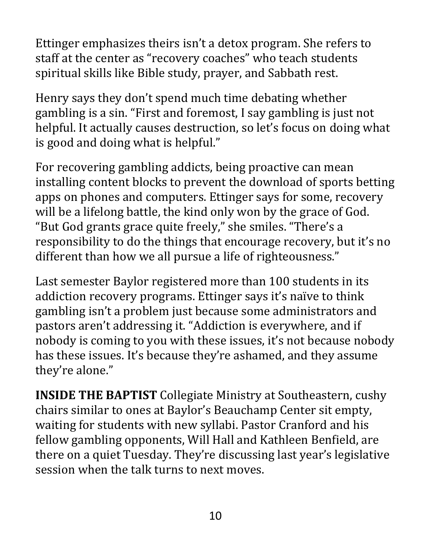Ettinger emphasizes theirs isn't a detox program. She refers to staff at the center as "recovery coaches" who teach students spiritual skills like Bible study, prayer, and Sabbath rest.

Henry says they don't spend much time debating whether gambling is a sin. "First and foremost, I say gambling is just not helpful. It actually causes destruction, so let's focus on doing what is good and doing what is helpful."

For recovering gambling addicts, being proactive can mean installing content blocks to prevent the download of sports betting apps on phones and computers. Ettinger says for some, recovery will be a lifelong battle, the kind only won by the grace of God. "But God grants grace quite freely," she smiles. "There's a responsibility to do the things that encourage recovery, but it's no different than how we all pursue a life of righteousness."

Last semester Baylor registered more than 100 students in its addiction recovery programs. Ettinger says it's naïve to think gambling isn't a problem just because some administrators and pastors aren't addressing it. "Addiction is everywhere, and if nobody is coming to you with these issues, it's not because nobody has these issues. It's because they're ashamed, and they assume they're alone."

**INSIDE THE BAPTIST** Collegiate Ministry at Southeastern, cushy chairs similar to ones at Baylor's Beauchamp Center sit empty, waiting for students with new syllabi. Pastor Cranford and his fellow gambling opponents, Will Hall and Kathleen Benfield, are there on a quiet Tuesday. They're discussing last year's legislative session when the talk turns to next moves.